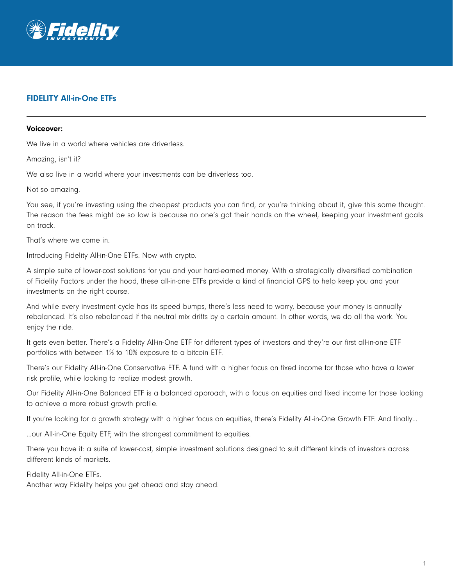

## FIDELITY All-in-One ETFs

## Voiceover:

We live in a world where vehicles are driverless.

Amazing, isn't it?

We also live in a world where your investments can be driverless too.

Not so amazing.

You see, if you're investing using the cheapest products you can find, or you're thinking about it, give this some thought. The reason the fees might be so low is because no one's got their hands on the wheel, keeping your investment goals on track.

That's where we come in.

Introducing Fidelity All-in-One ETFs. Now with crypto.

A simple suite of lower-cost solutions for you and your hard-earned money. With a strategically diversified combination of Fidelity Factors under the hood, these all-in-one ETFs provide a kind of financial GPS to help keep you and your investments on the right course.

And while every investment cycle has its speed bumps, there's less need to worry, because your money is annually rebalanced. It's also rebalanced if the neutral mix drifts by a certain amount. In other words, we do all the work. You enjoy the ride.

It gets even better. There's a Fidelity All-in-One ETF for different types of investors and they're our first all-in-one ETF portfolios with between 1% to 10% exposure to a bitcoin ETF.

There's our Fidelity All-in-One Conservative ETF. A fund with a higher focus on fixed income for those who have a lower risk profile, while looking to realize modest growth.

Our Fidelity All-in-One Balanced ETF is a balanced approach, with a focus on equities and fixed income for those looking to achieve a more robust growth profile.

If you're looking for a growth strategy with a higher focus on equities, there's Fidelity All-in-One Growth ETF. And finally…

…our All-in-One Equity ETF, with the strongest commitment to equities.

There you have it: a suite of lower-cost, simple investment solutions designed to suit different kinds of investors across different kinds of markets.

Fidelity All-in-One ETFs.

Another way Fidelity helps you get ahead and stay ahead.